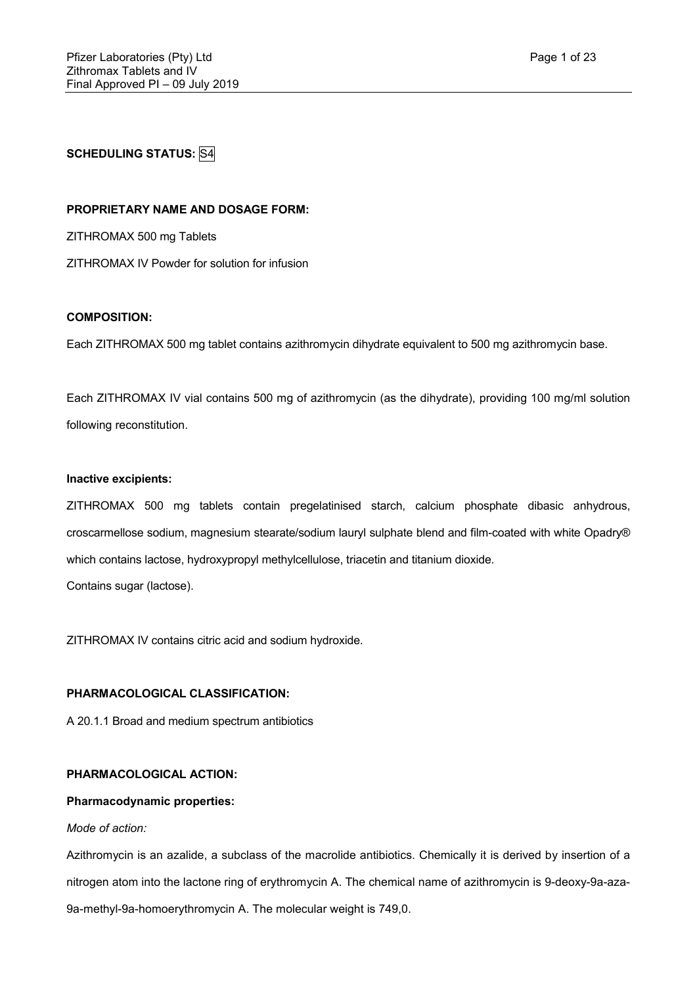**SCHEDULING STATUS:** S4

## **PROPRIETARY NAME AND DOSAGE FORM:**

ZITHROMAX 500 mg Tablets

ZITHROMAX IV Powder for solution for infusion

# **COMPOSITION:**

Each ZITHROMAX 500 mg tablet contains azithromycin dihydrate equivalent to 500 mg azithromycin base.

Each ZITHROMAX IV vial contains 500 mg of azithromycin (as the dihydrate), providing 100 mg/ml solution following reconstitution.

#### **Inactive excipients:**

ZITHROMAX 500 mg tablets contain pregelatinised starch, calcium phosphate dibasic anhydrous, croscarmellose sodium, magnesium stearate/sodium lauryl sulphate blend and film-coated with white Opadry® which contains lactose, hydroxypropyl methylcellulose, triacetin and titanium dioxide.

Contains sugar (lactose).

ZITHROMAX IV contains citric acid and sodium hydroxide.

#### **PHARMACOLOGICAL CLASSIFICATION:**

A 20.1.1 Broad and medium spectrum antibiotics

# **PHARMACOLOGICAL ACTION:**

## **Pharmacodynamic properties:**

## *Mode of action:*

Azithromycin is an azalide, a subclass of the macrolide antibiotics. Chemically it is derived by insertion of a nitrogen atom into the lactone ring of erythromycin A. The chemical name of azithromycin is 9-deoxy-9a-aza-9a-methyl-9a-homoerythromycin A. The molecular weight is 749,0.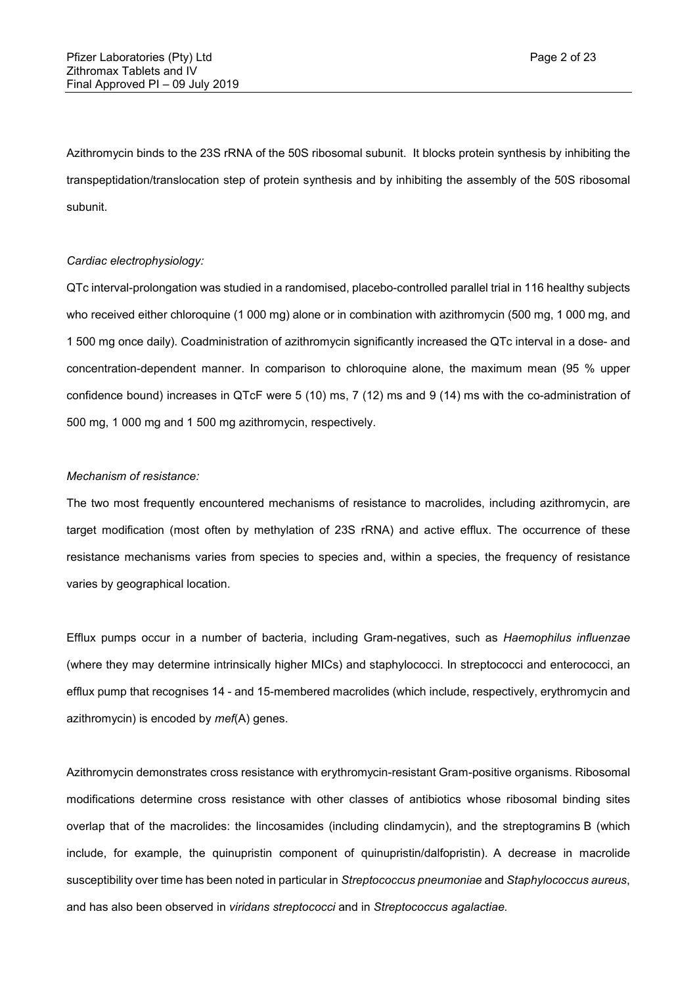Azithromycin binds to the 23S rRNA of the 50S ribosomal subunit. It blocks protein synthesis by inhibiting the transpeptidation/translocation step of protein synthesis and by inhibiting the assembly of the 50S ribosomal subunit.

#### *Cardiac electrophysiology:*

QTc interval-prolongation was studied in a randomised, placebo-controlled parallel trial in 116 healthy subjects who received either chloroquine (1 000 mg) alone or in combination with azithromycin (500 mg, 1 000 mg, and 1 500 mg once daily). Coadministration of azithromycin significantly increased the QTc interval in a dose- and concentration-dependent manner. In comparison to chloroquine alone, the maximum mean (95 % upper confidence bound) increases in QTcF were 5 (10) ms, 7 (12) ms and 9 (14) ms with the co-administration of 500 mg, 1 000 mg and 1 500 mg azithromycin, respectively.

## *Mechanism of resistance:*

The two most frequently encountered mechanisms of resistance to macrolides, including azithromycin, are target modification (most often by methylation of 23S rRNA) and active efflux. The occurrence of these resistance mechanisms varies from species to species and, within a species, the frequency of resistance varies by geographical location.

Efflux pumps occur in a number of bacteria, including Gram-negatives, such as *Haemophilus influenzae* (where they may determine intrinsically higher MICs) and staphylococci. In streptococci and enterococci, an efflux pump that recognises 14 - and 15-membered macrolides (which include, respectively, erythromycin and azithromycin) is encoded by *mef*(A) genes.

Azithromycin demonstrates cross resistance with erythromycin-resistant Gram-positive organisms. Ribosomal modifications determine cross resistance with other classes of antibiotics whose ribosomal binding sites overlap that of the macrolides: the lincosamides (including clindamycin), and the streptogramins B (which include, for example, the quinupristin component of quinupristin/dalfopristin). A decrease in macrolide susceptibility over time has been noted in particular in *Streptococcus pneumoniae* and *Staphylococcus aureus*, and has also been observed in *viridans streptococci* and in *Streptococcus agalactiae.*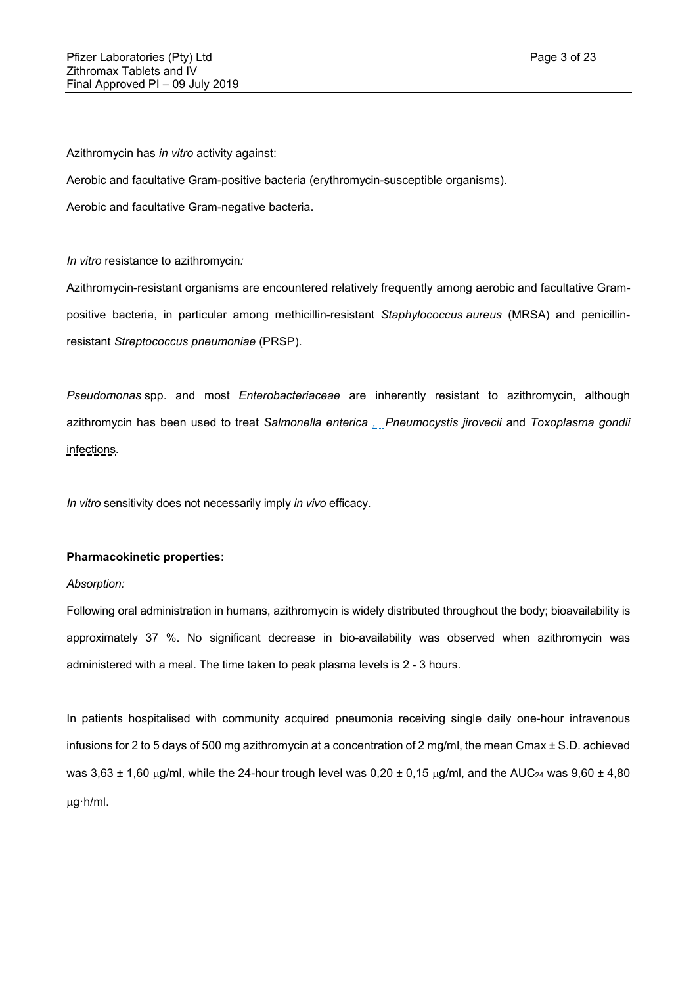Azithromycin has *in vitro* activity against:

Aerobic and facultative Gram-positive bacteria (erythromycin-susceptible organisms).

Aerobic and facultative Gram-negative bacteria.

*In vitro* resistance to azithromycin*:*

Azithromycin-resistant organisms are encountered relatively frequently among aerobic and facultative Grampositive bacteria, in particular among methicillin-resistant *Staphylococcus aureus* (MRSA) and penicillinresistant *Streptococcus pneumoniae* (PRSP).

*Pseudomonas* spp. and most *Enterobacteriaceae* are inherently resistant to azithromycin, although azithromycin has been used to treat *Salmonella enterica , Pneumocystis jirovecii* and *Toxoplasma gondii* infections*.*

*In vitro* sensitivity does not necessarily imply *in vivo* efficacy.

## **Pharmacokinetic properties:**

## *Absorption:*

Following oral administration in humans, azithromycin is widely distributed throughout the body; bioavailability is approximately 37 %. No significant decrease in bio-availability was observed when azithromycin was administered with a meal. The time taken to peak plasma levels is 2 - 3 hours.

In patients hospitalised with community acquired pneumonia receiving single daily one-hour intravenous infusions for 2 to 5 days of 500 mg azithromycin at a concentration of 2 mg/ml, the mean Cmax ± S.D. achieved was  $3.63 \pm 1.60$  µg/ml, while the 24-hour trough level was  $0.20 \pm 0.15$  µg/ml, and the AUC<sub>24</sub> was  $9.60 \pm 4.80$ g·h/ml.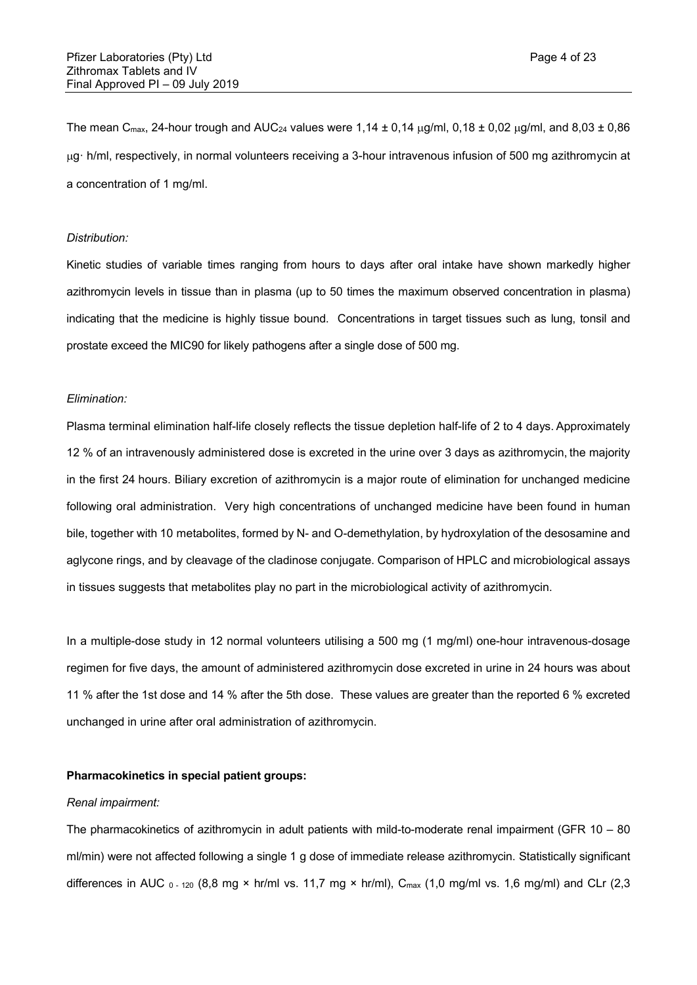The mean C<sub>max</sub>, 24-hour trough and AUC<sub>24</sub> values were 1,14  $\pm$  0,14  $\mu$ g/ml, 0,18  $\pm$  0,02  $\mu$ g/ml, and 8,03  $\pm$  0,86 g· h/ml, respectively, in normal volunteers receiving a 3-hour intravenous infusion of 500 mg azithromycin at a concentration of 1 mg/ml.

#### *Distribution:*

Kinetic studies of variable times ranging from hours to days after oral intake have shown markedly higher azithromycin levels in tissue than in plasma (up to 50 times the maximum observed concentration in plasma) indicating that the medicine is highly tissue bound. Concentrations in target tissues such as lung, tonsil and prostate exceed the MIC90 for likely pathogens after a single dose of 500 mg.

#### *Elimination:*

Plasma terminal elimination half-life closely reflects the tissue depletion half-life of 2 to 4 days. Approximately 12 % of an intravenously administered dose is excreted in the urine over 3 days as azithromycin, the majority in the first 24 hours. Biliary excretion of azithromycin is a major route of elimination for unchanged medicine following oral administration. Very high concentrations of unchanged medicine have been found in human bile, together with 10 metabolites, formed by N- and O-demethylation, by hydroxylation of the desosamine and aglycone rings, and by cleavage of the cladinose conjugate. Comparison of HPLC and microbiological assays in tissues suggests that metabolites play no part in the microbiological activity of azithromycin.

In a multiple-dose study in 12 normal volunteers utilising a 500 mg (1 mg/ml) one-hour intravenous-dosage regimen for five days, the amount of administered azithromycin dose excreted in urine in 24 hours was about 11 % after the 1st dose and 14 % after the 5th dose. These values are greater than the reported 6 % excreted unchanged in urine after oral administration of azithromycin.

# **Pharmacokinetics in special patient groups:**

#### *Renal impairment:*

The pharmacokinetics of azithromycin in adult patients with mild-to-moderate renal impairment (GFR 10 – 80 ml/min) were not affected following a single 1 g dose of immediate release azithromycin. Statistically significant differences in AUC  $_0$  - 120 (8,8 mg × hr/ml vs. 11,7 mg × hr/ml), C<sub>max</sub> (1,0 mg/ml vs. 1,6 mg/ml) and CLr (2,3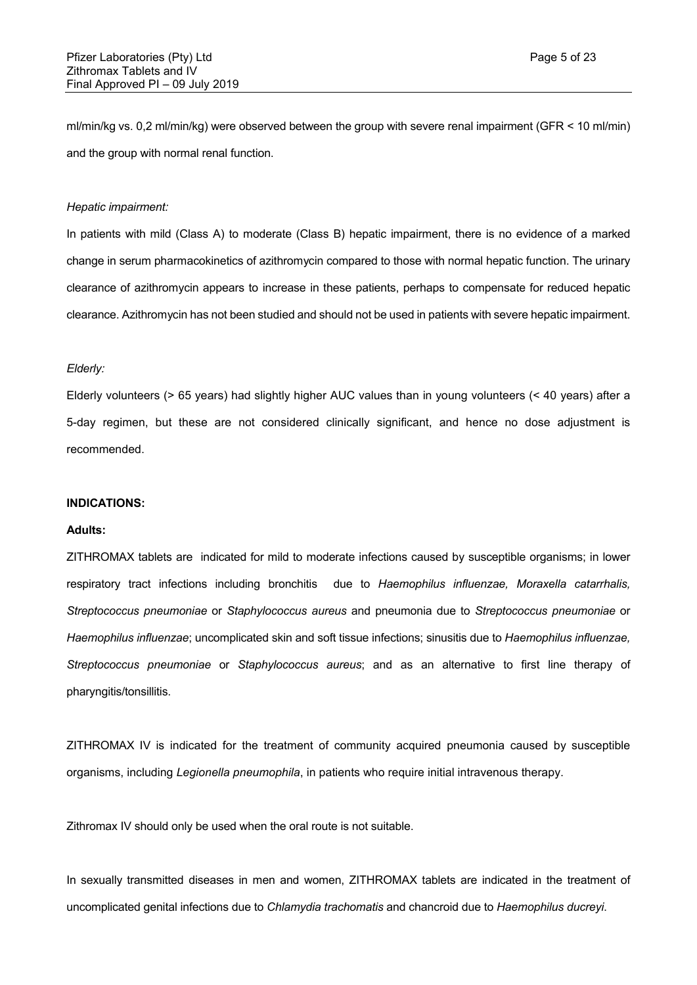ml/min/kg vs. 0,2 ml/min/kg) were observed between the group with severe renal impairment (GFR < 10 ml/min) and the group with normal renal function.

#### *Hepatic impairment:*

In patients with mild (Class A) to moderate (Class B) hepatic impairment, there is no evidence of a marked change in serum pharmacokinetics of azithromycin compared to those with normal hepatic function. The urinary clearance of azithromycin appears to increase in these patients, perhaps to compensate for reduced hepatic clearance. Azithromycin has not been studied and should not be used in patients with severe hepatic impairment.

#### *Elderly:*

Elderly volunteers (> 65 years) had slightly higher AUC values than in young volunteers (< 40 years) after a 5-day regimen, but these are not considered clinically significant, and hence no dose adjustment is recommended.

#### **INDICATIONS:**

## **Adults:**

ZITHROMAX tablets are indicated for mild to moderate infections caused by susceptible organisms; in lower respiratory tract infections including bronchitis due to *Haemophilus influenzae, Moraxella catarrhalis, Streptococcus pneumoniae* or *Staphylococcus aureus* and pneumonia due to *Streptococcus pneumoniae* or *Haemophilus influenzae*; uncomplicated skin and soft tissue infections; sinusitis due to *Haemophilus influenzae, Streptococcus pneumoniae* or *Staphylococcus aureus*; and as an alternative to first line therapy of pharyngitis/tonsillitis.

ZITHROMAX IV is indicated for the treatment of community acquired pneumonia caused by susceptible organisms, including *Legionella pneumophila*, in patients who require initial intravenous therapy.

Zithromax IV should only be used when the oral route is not suitable.

In sexually transmitted diseases in men and women, ZITHROMAX tablets are indicated in the treatment of uncomplicated genital infections due to *Chlamydia trachomatis* and chancroid due to *Haemophilus ducreyi*.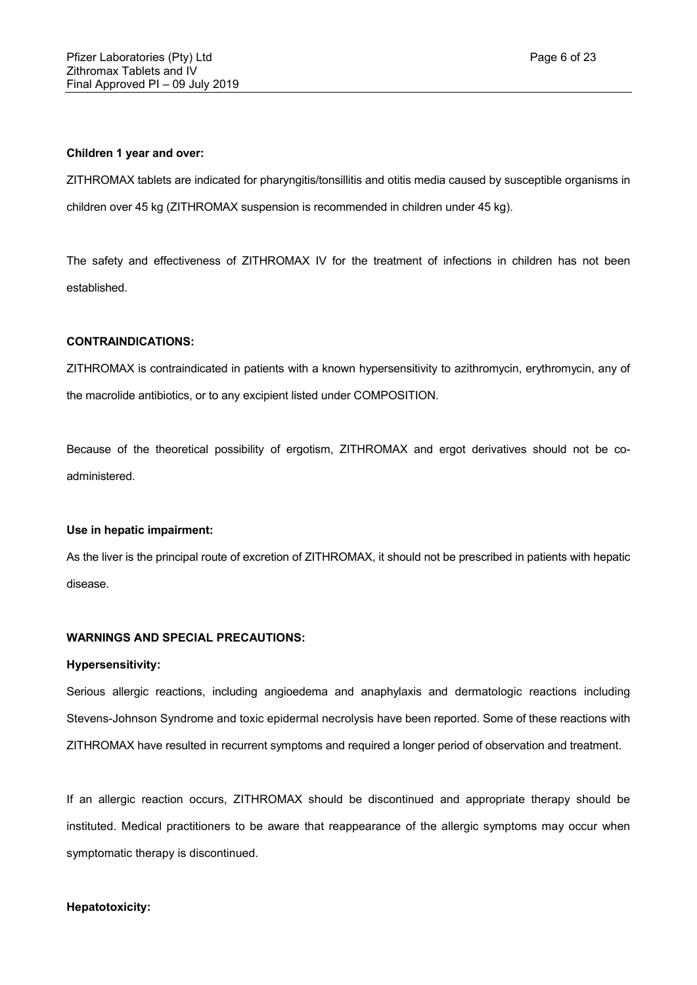#### **Children 1 year and over:**

ZITHROMAX tablets are indicated for pharyngitis/tonsillitis and otitis media caused by susceptible organisms in children over 45 kg (ZITHROMAX suspension is recommended in children under 45 kg).

The safety and effectiveness of ZITHROMAX IV for the treatment of infections in children has not been established.

## **CONTRAINDICATIONS:**

ZITHROMAX is contraindicated in patients with a known hypersensitivity to azithromycin, erythromycin, any of the macrolide antibiotics, or to any excipient listed under COMPOSITION.

Because of the theoretical possibility of ergotism, ZITHROMAX and ergot derivatives should not be coadministered.

## **Use in hepatic impairment:**

As the liver is the principal route of excretion of ZITHROMAX, it should not be prescribed in patients with hepatic disease.

# **WARNINGS AND SPECIAL PRECAUTIONS:**

#### **Hypersensitivity:**

Serious allergic reactions, including angioedema and anaphylaxis and dermatologic reactions including Stevens-Johnson Syndrome and toxic epidermal necrolysis have been reported. Some of these reactions with ZITHROMAX have resulted in recurrent symptoms and required a longer period of observation and treatment.

If an allergic reaction occurs, ZITHROMAX should be discontinued and appropriate therapy should be instituted. Medical practitioners to be aware that reappearance of the allergic symptoms may occur when symptomatic therapy is discontinued.

#### **Hepatotoxicity:**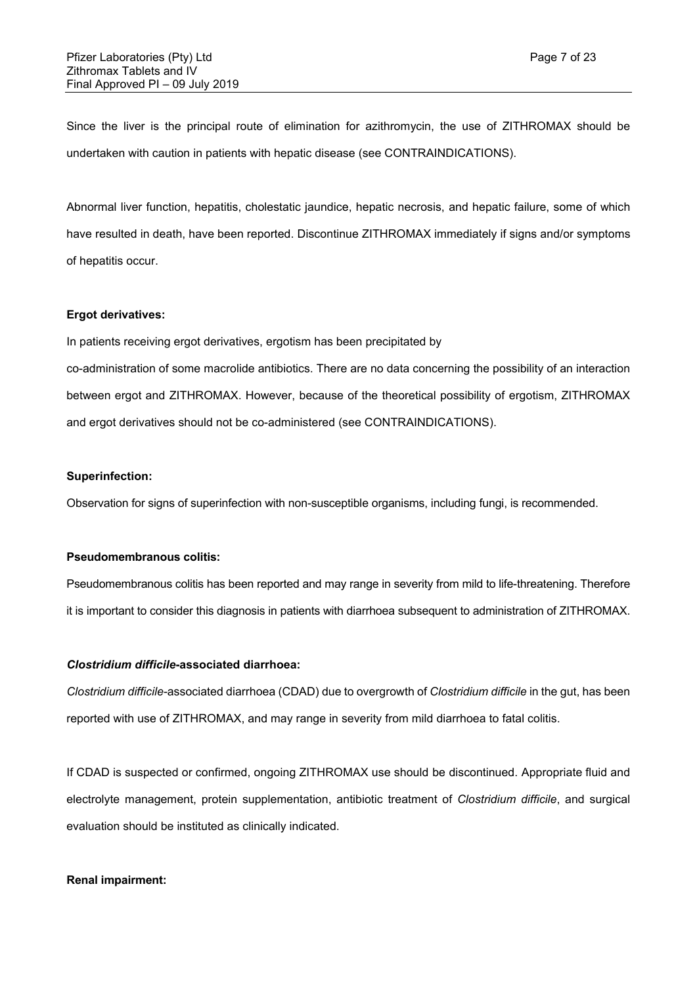Since the liver is the principal route of elimination for azithromycin, the use of ZITHROMAX should be undertaken with caution in patients with hepatic disease (see CONTRAINDICATIONS).

Abnormal liver function, hepatitis, cholestatic jaundice, hepatic necrosis, and hepatic failure, some of which have resulted in death, have been reported. Discontinue ZITHROMAX immediately if signs and/or symptoms of hepatitis occur.

## **Ergot derivatives:**

In patients receiving ergot derivatives, ergotism has been precipitated by

co-administration of some macrolide antibiotics. There are no data concerning the possibility of an interaction between ergot and ZITHROMAX. However, because of the theoretical possibility of ergotism, ZITHROMAX and ergot derivatives should not be co-administered (see CONTRAINDICATIONS).

#### **Superinfection:**

Observation for signs of superinfection with non-susceptible organisms, including fungi, is recommended.

# **Pseudomembranous colitis:**

Pseudomembranous colitis has been reported and may range in severity from mild to life-threatening. Therefore it is important to consider this diagnosis in patients with diarrhoea subsequent to administration of ZITHROMAX.

# *Clostridium difficile***-associated diarrhoea:**

*Clostridium difficile-*associated diarrhoea (CDAD) due to overgrowth of *Clostridium difficile* in the gut, has been reported with use of ZITHROMAX, and may range in severity from mild diarrhoea to fatal colitis.

If CDAD is suspected or confirmed, ongoing ZITHROMAX use should be discontinued. Appropriate fluid and electrolyte management, protein supplementation, antibiotic treatment of *Clostridium difficile*, and surgical evaluation should be instituted as clinically indicated.

#### **Renal impairment:**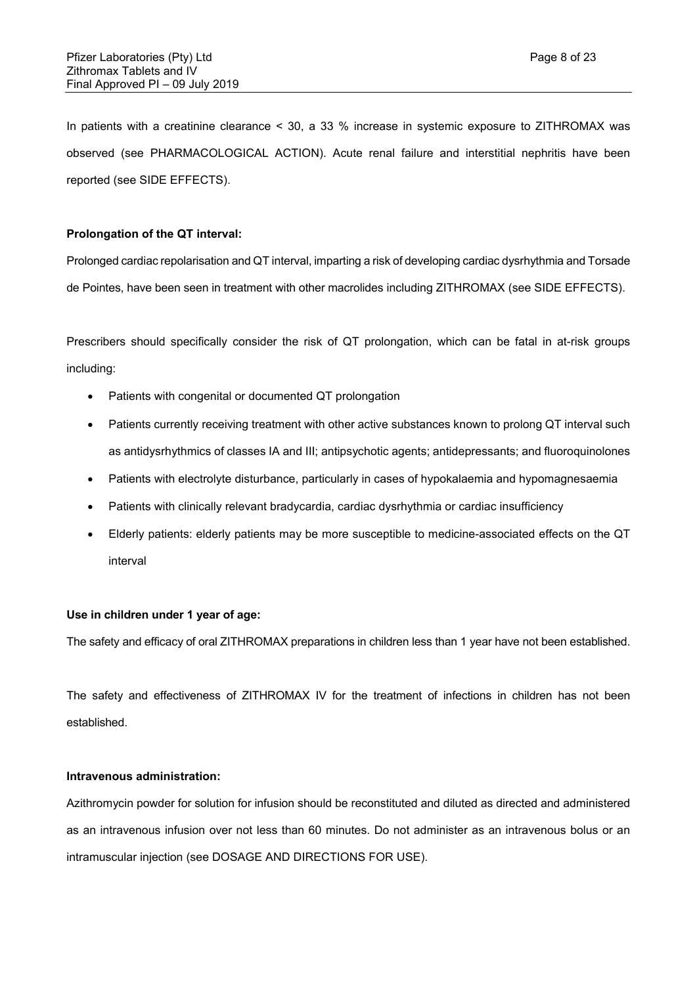In patients with a creatinine clearance < 30, a 33 % increase in systemic exposure to ZITHROMAX was observed (see PHARMACOLOGICAL ACTION). Acute renal failure and interstitial nephritis have been reported (see SIDE EFFECTS).

# **Prolongation of the QT interval:**

Prolonged cardiac repolarisation and QT interval, imparting a risk of developing cardiac dysrhythmia and Torsade de Pointes, have been seen in treatment with other macrolides including ZITHROMAX (see SIDE EFFECTS).

Prescribers should specifically consider the risk of QT prolongation, which can be fatal in at-risk groups including:

- Patients with congenital or documented QT prolongation
- Patients currently receiving treatment with other active substances known to prolong QT interval such as antidysrhythmics of classes IA and III; antipsychotic agents; antidepressants; and fluoroquinolones
- Patients with electrolyte disturbance, particularly in cases of hypokalaemia and hypomagnesaemia
- Patients with clinically relevant bradycardia, cardiac dysrhythmia or cardiac insufficiency
- Elderly patients: elderly patients may be more susceptible to medicine-associated effects on the QT interval

## **Use in children under 1 year of age:**

The safety and efficacy of oral ZITHROMAX preparations in children less than 1 year have not been established.

The safety and effectiveness of ZITHROMAX IV for the treatment of infections in children has not been established.

# **Intravenous administration:**

Azithromycin powder for solution for infusion should be reconstituted and diluted as directed and administered as an intravenous infusion over not less than 60 minutes. Do not administer as an intravenous bolus or an intramuscular injection (see DOSAGE AND DIRECTIONS FOR USE).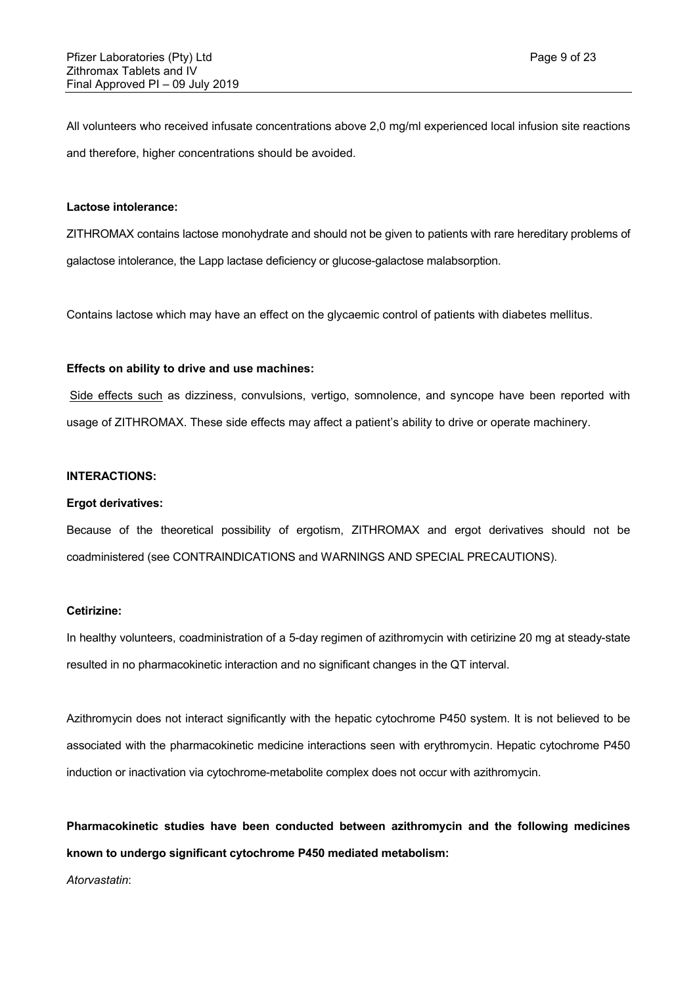All volunteers who received infusate concentrations above 2,0 mg/ml experienced local infusion site reactions and therefore, higher concentrations should be avoided.

#### **Lactose intolerance:**

ZITHROMAX contains lactose monohydrate and should not be given to patients with rare hereditary problems of galactose intolerance, the Lapp lactase deficiency or glucose-galactose malabsorption.

Contains lactose which may have an effect on the glycaemic control of patients with diabetes mellitus.

## **Effects on ability to drive and use machines:**

Side effects such as dizziness, convulsions, vertigo, somnolence, and syncope have been reported with usage of ZITHROMAX. These side effects may affect a patient's ability to drive or operate machinery.

#### **INTERACTIONS:**

## **Ergot derivatives:**

Because of the theoretical possibility of ergotism, ZITHROMAX and ergot derivatives should not be coadministered (see CONTRAINDICATIONS and WARNINGS AND SPECIAL PRECAUTIONS).

#### **Cetirizine:**

In healthy volunteers, coadministration of a 5-day regimen of azithromycin with cetirizine 20 mg at steady-state resulted in no pharmacokinetic interaction and no significant changes in the QT interval.

Azithromycin does not interact significantly with the hepatic cytochrome P450 system. It is not believed to be associated with the pharmacokinetic medicine interactions seen with erythromycin. Hepatic cytochrome P450 induction or inactivation via cytochrome-metabolite complex does not occur with azithromycin.

**Pharmacokinetic studies have been conducted between azithromycin and the following medicines known to undergo significant cytochrome P450 mediated metabolism:**

*Atorvastatin*: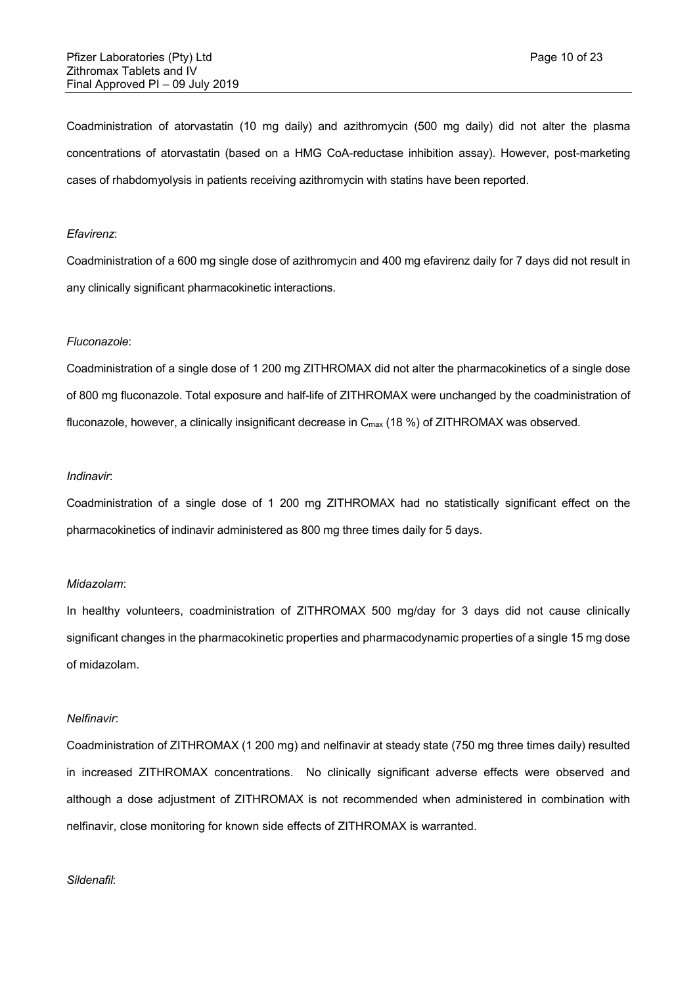Coadministration of atorvastatin (10 mg daily) and azithromycin (500 mg daily) did not alter the plasma concentrations of atorvastatin (based on a HMG CoA-reductase inhibition assay). However, post-marketing cases of rhabdomyolysis in patients receiving azithromycin with statins have been reported.

#### *Efavirenz*:

Coadministration of a 600 mg single dose of azithromycin and 400 mg efavirenz daily for 7 days did not result in any clinically significant pharmacokinetic interactions.

#### *Fluconazole*:

Coadministration of a single dose of 1 200 mg ZITHROMAX did not alter the pharmacokinetics of a single dose of 800 mg fluconazole. Total exposure and half-life of ZITHROMAX were unchanged by the coadministration of fluconazole, however, a clinically insignificant decrease in  $C_{\text{max}}$  (18 %) of ZITHROMAX was observed.

#### *Indinavir*:

Coadministration of a single dose of 1 200 mg ZITHROMAX had no statistically significant effect on the pharmacokinetics of indinavir administered as 800 mg three times daily for 5 days.

#### *Midazolam*:

In healthy volunteers, coadministration of ZITHROMAX 500 mg/day for 3 days did not cause clinically significant changes in the pharmacokinetic properties and pharmacodynamic properties of a single 15 mg dose of midazolam.

#### *Nelfinavir*:

Coadministration of ZITHROMAX (1 200 mg) and nelfinavir at steady state (750 mg three times daily) resulted in increased ZITHROMAX concentrations. No clinically significant adverse effects were observed and although a dose adjustment of ZITHROMAX is not recommended when administered in combination with nelfinavir, close monitoring for known side effects of ZITHROMAX is warranted.

#### *Sildenafil*: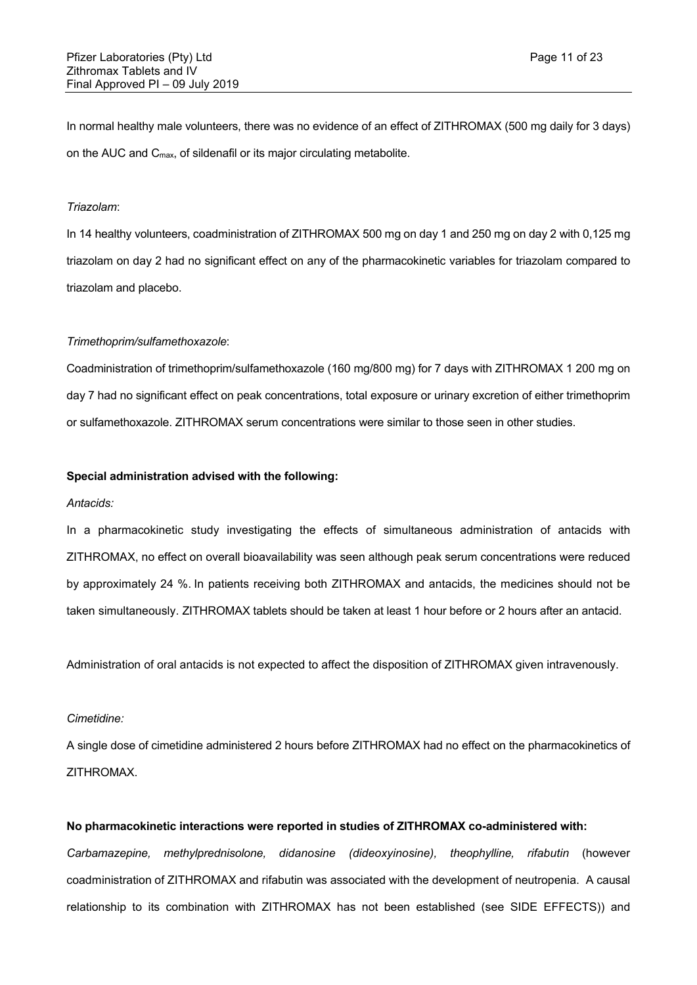In normal healthy male volunteers, there was no evidence of an effect of ZITHROMAX (500 mg daily for 3 days) on the AUC and Cmax, of sildenafil or its major circulating metabolite.

#### *Triazolam*:

In 14 healthy volunteers, coadministration of ZITHROMAX 500 mg on day 1 and 250 mg on day 2 with 0,125 mg triazolam on day 2 had no significant effect on any of the pharmacokinetic variables for triazolam compared to triazolam and placebo.

## *Trimethoprim/sulfamethoxazole*:

Coadministration of trimethoprim/sulfamethoxazole (160 mg/800 mg) for 7 days with ZITHROMAX 1 200 mg on day 7 had no significant effect on peak concentrations, total exposure or urinary excretion of either trimethoprim or sulfamethoxazole. ZITHROMAX serum concentrations were similar to those seen in other studies.

#### **Special administration advised with the following:**

#### *Antacids:*

In a pharmacokinetic study investigating the effects of simultaneous administration of antacids with ZITHROMAX, no effect on overall bioavailability was seen although peak serum concentrations were reduced by approximately 24 %. In patients receiving both ZITHROMAX and antacids, the medicines should not be taken simultaneously. ZITHROMAX tablets should be taken at least 1 hour before or 2 hours after an antacid.

Administration of oral antacids is not expected to affect the disposition of ZITHROMAX given intravenously.

#### *Cimetidine:*

A single dose of cimetidine administered 2 hours before ZITHROMAX had no effect on the pharmacokinetics of ZITHROMAX.

#### **No pharmacokinetic interactions were reported in studies of ZITHROMAX co-administered with:**

*Carbamazepine, methylprednisolone, didanosine (dideoxyinosine), theophylline, rifabutin* (however coadministration of ZITHROMAX and rifabutin was associated with the development of neutropenia. A causal relationship to its combination with ZITHROMAX has not been established (see SIDE EFFECTS)) and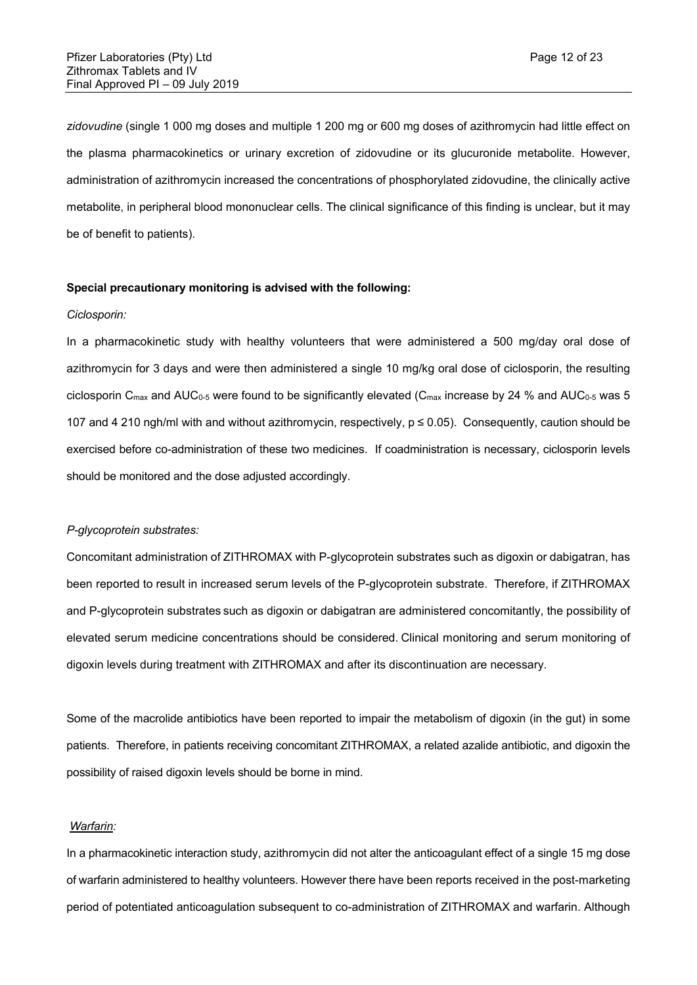*zidovudine* (single 1 000 mg doses and multiple 1 200 mg or 600 mg doses of azithromycin had little effect on the plasma pharmacokinetics or urinary excretion of zidovudine or its glucuronide metabolite. However, administration of azithromycin increased the concentrations of phosphorylated zidovudine, the clinically active metabolite, in peripheral blood mononuclear cells. The clinical significance of this finding is unclear, but it may be of benefit to patients).

#### **Special precautionary monitoring is advised with the following:**

#### *Ciclosporin:*

In a pharmacokinetic study with healthy volunteers that were administered a 500 mg/day oral dose of azithromycin for 3 days and were then administered a single 10 mg/kg oral dose of ciclosporin, the resulting ciclosporin  $C_{\text{max}}$  and AUC<sub>0-5</sub> were found to be significantly elevated ( $C_{\text{max}}$  increase by 24 % and AUC<sub>0-5</sub> was 5 107 and 4 210 ngh/ml with and without azithromycin, respectively, p ≤ 0.05). Consequently, caution should be exercised before co-administration of these two medicines. If coadministration is necessary, ciclosporin levels should be monitored and the dose adjusted accordingly.

#### *P-glycoprotein substrates:*

Concomitant administration of ZITHROMAX with P-glycoprotein substrates such as digoxin or dabigatran, has been reported to result in increased serum levels of the P-glycoprotein substrate. Therefore, if ZITHROMAX and P-glycoprotein substrates such as digoxin or dabigatran are administered concomitantly, the possibility of elevated serum medicine concentrations should be considered. Clinical monitoring and serum monitoring of digoxin levels during treatment with ZITHROMAX and after its discontinuation are necessary.

Some of the macrolide antibiotics have been reported to impair the metabolism of digoxin (in the gut) in some patients. Therefore, in patients receiving concomitant ZITHROMAX, a related azalide antibiotic, and digoxin the possibility of raised digoxin levels should be borne in mind.

#### *Warfarin:*

In a pharmacokinetic interaction study, azithromycin did not alter the anticoagulant effect of a single 15 mg dose of warfarin administered to healthy volunteers. However there have been reports received in the post-marketing period of potentiated anticoagulation subsequent to co-administration of ZITHROMAX and warfarin. Although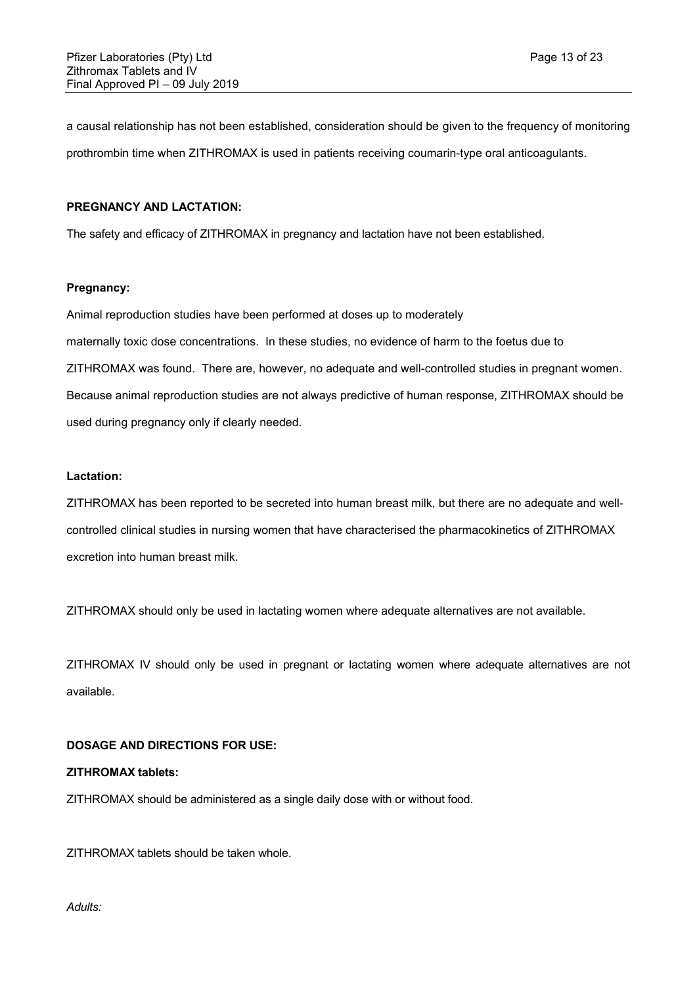a causal relationship has not been established, consideration should be given to the frequency of monitoring prothrombin time when ZITHROMAX is used in patients receiving coumarin-type oral anticoagulants.

#### **PREGNANCY AND LACTATION:**

The safety and efficacy of ZITHROMAX in pregnancy and lactation have not been established.

## **Pregnancy:**

Animal reproduction studies have been performed at doses up to moderately maternally toxic dose concentrations. In these studies, no evidence of harm to the foetus due to ZITHROMAX was found. There are, however, no adequate and well-controlled studies in pregnant women. Because animal reproduction studies are not always predictive of human response, ZITHROMAX should be used during pregnancy only if clearly needed.

#### **Lactation:**

ZITHROMAX has been reported to be secreted into human breast milk, but there are no adequate and wellcontrolled clinical studies in nursing women that have characterised the pharmacokinetics of ZITHROMAX excretion into human breast milk.

ZITHROMAX should only be used in lactating women where adequate alternatives are not available.

ZITHROMAX IV should only be used in pregnant or lactating women where adequate alternatives are not available.

#### **DOSAGE AND DIRECTIONS FOR USE:**

#### **ZITHROMAX tablets:**

ZITHROMAX should be administered as a single daily dose with or without food.

ZITHROMAX tablets should be taken whole.

*Adults:*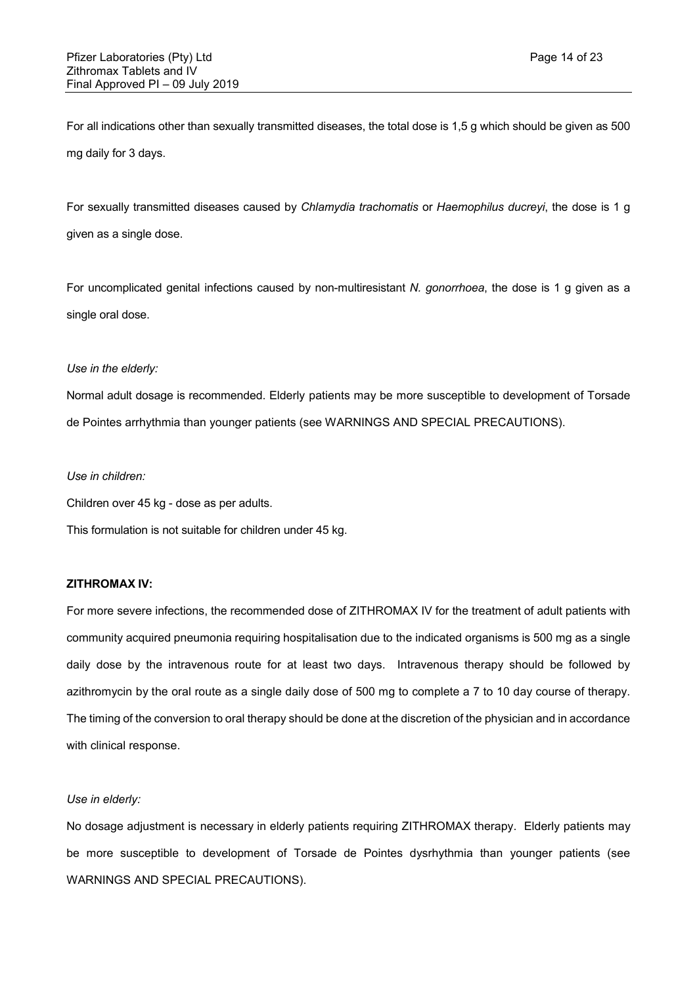For all indications other than sexually transmitted diseases, the total dose is 1,5 g which should be given as 500 mg daily for 3 days.

For sexually transmitted diseases caused by *Chlamydia trachomatis* or *Haemophilus ducreyi*, the dose is 1 g given as a single dose.

For uncomplicated genital infections caused by non-multiresistant *N. gonorrhoea*, the dose is 1 g given as a single oral dose.

## *Use in the elderly:*

Normal adult dosage is recommended. Elderly patients may be more susceptible to development of Torsade de Pointes arrhythmia than younger patients (see WARNINGS AND SPECIAL PRECAUTIONS).

#### *Use in children:*

Children over 45 kg - dose as per adults.

This formulation is not suitable for children under 45 kg.

# **ZITHROMAX IV:**

For more severe infections, the recommended dose of ZITHROMAX IV for the treatment of adult patients with community acquired pneumonia requiring hospitalisation due to the indicated organisms is 500 mg as a single daily dose by the intravenous route for at least two days. Intravenous therapy should be followed by azithromycin by the oral route as a single daily dose of 500 mg to complete a 7 to 10 day course of therapy. The timing of the conversion to oral therapy should be done at the discretion of the physician and in accordance with clinical response.

#### *Use in elderly:*

No dosage adjustment is necessary in elderly patients requiring ZITHROMAX therapy. Elderly patients may be more susceptible to development of Torsade de Pointes dysrhythmia than younger patients (see WARNINGS AND SPECIAL PRECAUTIONS).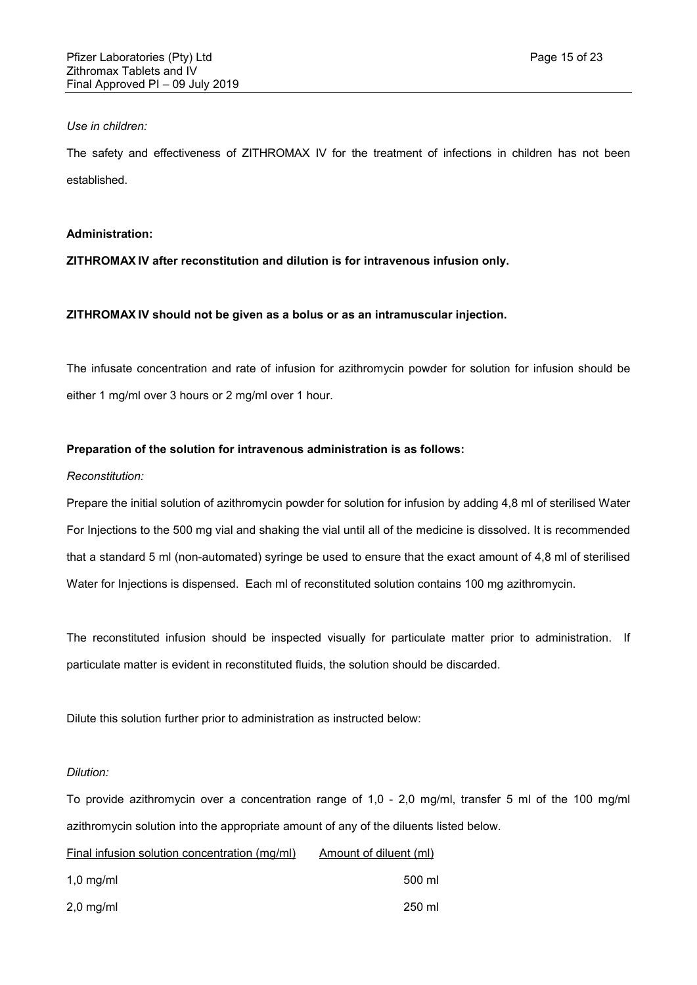# *Use in children:*

The safety and effectiveness of ZITHROMAX IV for the treatment of infections in children has not been established.

# **Administration:**

**ZITHROMAX IV after reconstitution and dilution is for intravenous infusion only.** 

# **ZITHROMAX IV should not be given as a bolus or as an intramuscular injection.**

The infusate concentration and rate of infusion for azithromycin powder for solution for infusion should be either 1 mg/ml over 3 hours or 2 mg/ml over 1 hour.

# **Preparation of the solution for intravenous administration is as follows:**

## *Reconstitution:*

Prepare the initial solution of azithromycin powder for solution for infusion by adding 4,8 ml of sterilised Water For Injections to the 500 mg vial and shaking the vial until all of the medicine is dissolved. It is recommended that a standard 5 ml (non-automated) syringe be used to ensure that the exact amount of 4,8 ml of sterilised Water for Injections is dispensed. Each ml of reconstituted solution contains 100 mg azithromycin.

The reconstituted infusion should be inspected visually for particulate matter prior to administration. If particulate matter is evident in reconstituted fluids, the solution should be discarded.

Dilute this solution further prior to administration as instructed below:

## *Dilution:*

To provide azithromycin over a concentration range of 1,0 - 2,0 mg/ml, transfer 5 ml of the 100 mg/ml azithromycin solution into the appropriate amount of any of the diluents listed below.

# Final infusion solution concentration (mg/ml) Amount of diluent (ml)

| $1,0$ mg/ml | 500 ml |
|-------------|--------|
| $2,0$ mg/ml | 250 ml |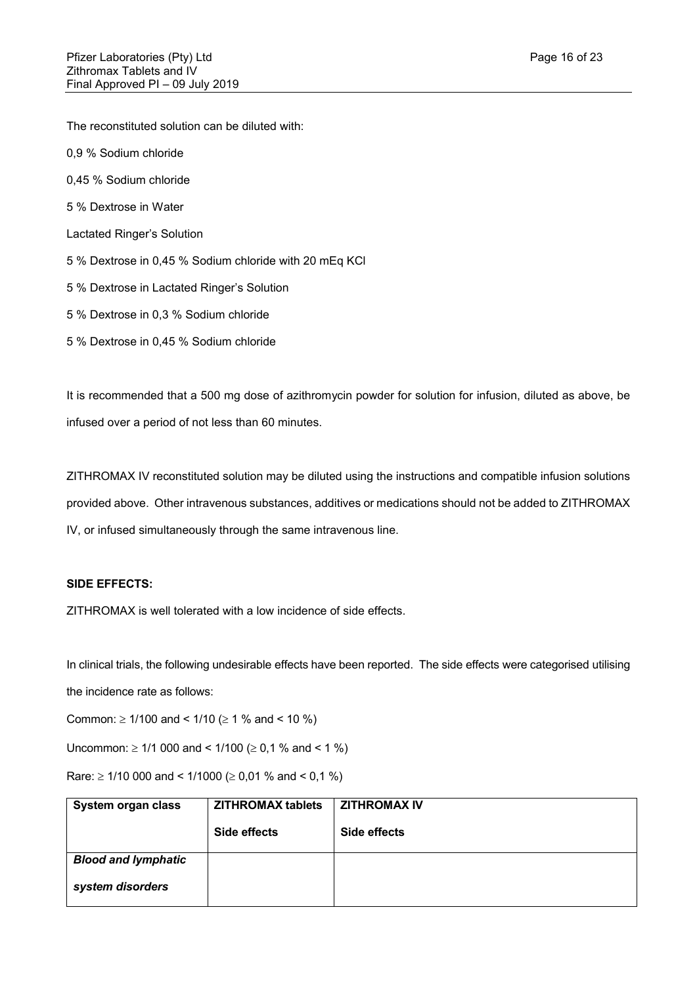The reconstituted solution can be diluted with:

- 0,9 % Sodium chloride
- 0,45 % Sodium chloride
- 5 % Dextrose in Water
- Lactated Ringer's Solution
- 5 % Dextrose in 0,45 % Sodium chloride with 20 mEq KCl
- 5 % Dextrose in Lactated Ringer's Solution
- 5 % Dextrose in 0,3 % Sodium chloride
- 5 % Dextrose in 0,45 % Sodium chloride

It is recommended that a 500 mg dose of azithromycin powder for solution for infusion, diluted as above, be infused over a period of not less than 60 minutes.

ZITHROMAX IV reconstituted solution may be diluted using the instructions and compatible infusion solutions provided above. Other intravenous substances, additives or medications should not be added to ZITHROMAX IV, or infused simultaneously through the same intravenous line.

# **SIDE EFFECTS:**

ZITHROMAX is well tolerated with a low incidence of side effects.

In clinical trials, the following undesirable effects have been reported. The side effects were categorised utilising the incidence rate as follows:

Common:  $\geq 1/100$  and <  $1/10$  ( $\geq 1$  % and < 10 %)

Uncommon:  $\geq 1/1$  000 and < 1/100 ( $\geq 0.1$  % and < 1 %)

Rare:  $\geq$  1/10 000 and < 1/1000 ( $\geq$  0,01 % and < 0,1 %)

| System organ class         | <b>ZITHROMAX tablets</b> | <b>ZITHROMAX IV</b> |
|----------------------------|--------------------------|---------------------|
|                            | Side effects             | Side effects        |
| <b>Blood and lymphatic</b> |                          |                     |
| system disorders           |                          |                     |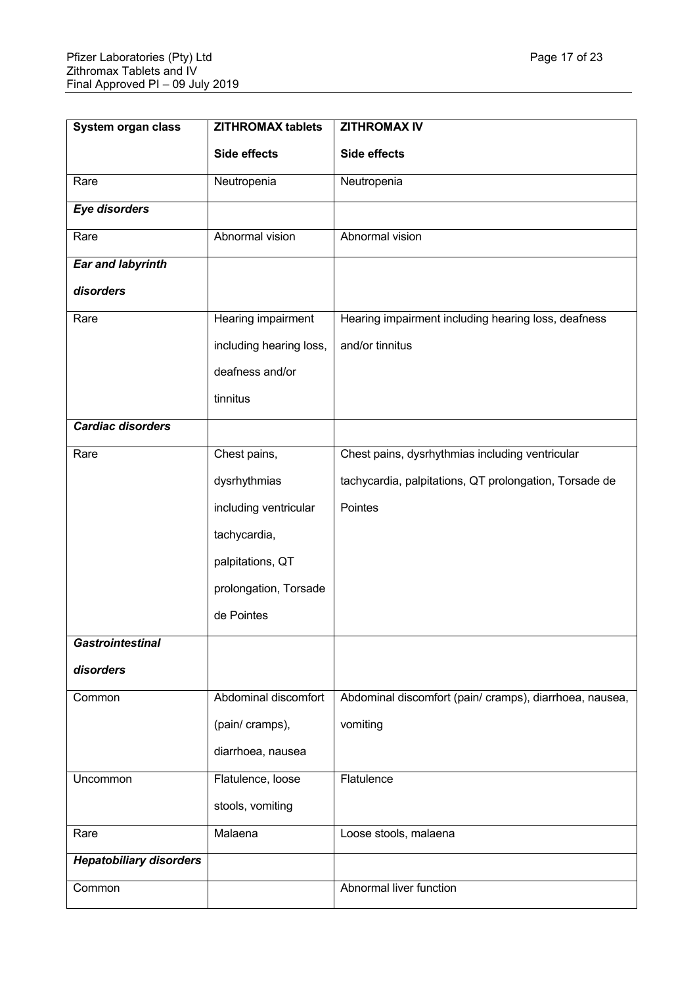| <b>System organ class</b>      | <b>ZITHROMAX tablets</b> | <b>ZITHROMAX IV</b>                                     |
|--------------------------------|--------------------------|---------------------------------------------------------|
|                                | <b>Side effects</b>      | Side effects                                            |
| Rare                           | Neutropenia              | Neutropenia                                             |
| <b>Eye disorders</b>           |                          |                                                         |
| Rare                           | Abnormal vision          | Abnormal vision                                         |
| <b>Ear and labyrinth</b>       |                          |                                                         |
| disorders                      |                          |                                                         |
| Rare                           | Hearing impairment       | Hearing impairment including hearing loss, deafness     |
|                                | including hearing loss,  | and/or tinnitus                                         |
|                                | deafness and/or          |                                                         |
|                                | tinnitus                 |                                                         |
| <b>Cardiac disorders</b>       |                          |                                                         |
| Rare                           | Chest pains,             | Chest pains, dysrhythmias including ventricular         |
|                                | dysrhythmias             | tachycardia, palpitations, QT prolongation, Torsade de  |
|                                | including ventricular    | Pointes                                                 |
|                                | tachycardia,             |                                                         |
|                                | palpitations, QT         |                                                         |
|                                | prolongation, Torsade    |                                                         |
|                                | de Pointes               |                                                         |
| <b>Gastrointestinal</b>        |                          |                                                         |
| disorders                      |                          |                                                         |
| Common                         | Abdominal discomfort     | Abdominal discomfort (pain/ cramps), diarrhoea, nausea, |
|                                | (pain/ cramps),          | vomiting                                                |
|                                | diarrhoea, nausea        |                                                         |
| Uncommon                       | Flatulence, loose        | Flatulence                                              |
|                                | stools, vomiting         |                                                         |
| Rare                           | Malaena                  | Loose stools, malaena                                   |
| <b>Hepatobiliary disorders</b> |                          |                                                         |
| Common                         |                          | Abnormal liver function                                 |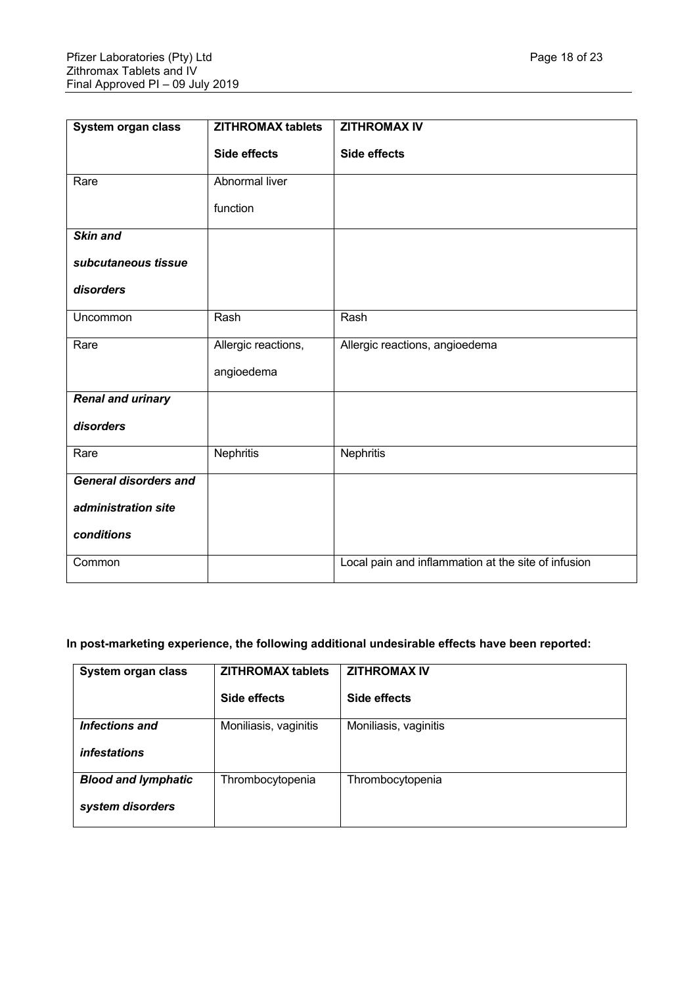| System organ class           | <b>ZITHROMAX tablets</b> | <b>ZITHROMAX IV</b>                                 |
|------------------------------|--------------------------|-----------------------------------------------------|
|                              | <b>Side effects</b>      | Side effects                                        |
| Rare                         | Abnormal liver           |                                                     |
|                              | function                 |                                                     |
| <b>Skin and</b>              |                          |                                                     |
| subcutaneous tissue          |                          |                                                     |
| disorders                    |                          |                                                     |
| Uncommon                     | Rash                     | Rash                                                |
| Rare                         | Allergic reactions,      | Allergic reactions, angioedema                      |
|                              | angioedema               |                                                     |
| <b>Renal and urinary</b>     |                          |                                                     |
| disorders                    |                          |                                                     |
| Rare                         | Nephritis                | Nephritis                                           |
| <b>General disorders and</b> |                          |                                                     |
| administration site          |                          |                                                     |
| conditions                   |                          |                                                     |
| Common                       |                          | Local pain and inflammation at the site of infusion |

# **In post-marketing experience, the following additional undesirable effects have been reported:**

| System organ class         | <b>ZITHROMAX tablets</b> | <b>ZITHROMAX IV</b>   |
|----------------------------|--------------------------|-----------------------|
|                            | Side effects             | Side effects          |
| Infections and             | Moniliasis, vaginitis    | Moniliasis, vaginitis |
| <i>infestations</i>        |                          |                       |
| <b>Blood and lymphatic</b> | Thrombocytopenia         | Thrombocytopenia      |
| system disorders           |                          |                       |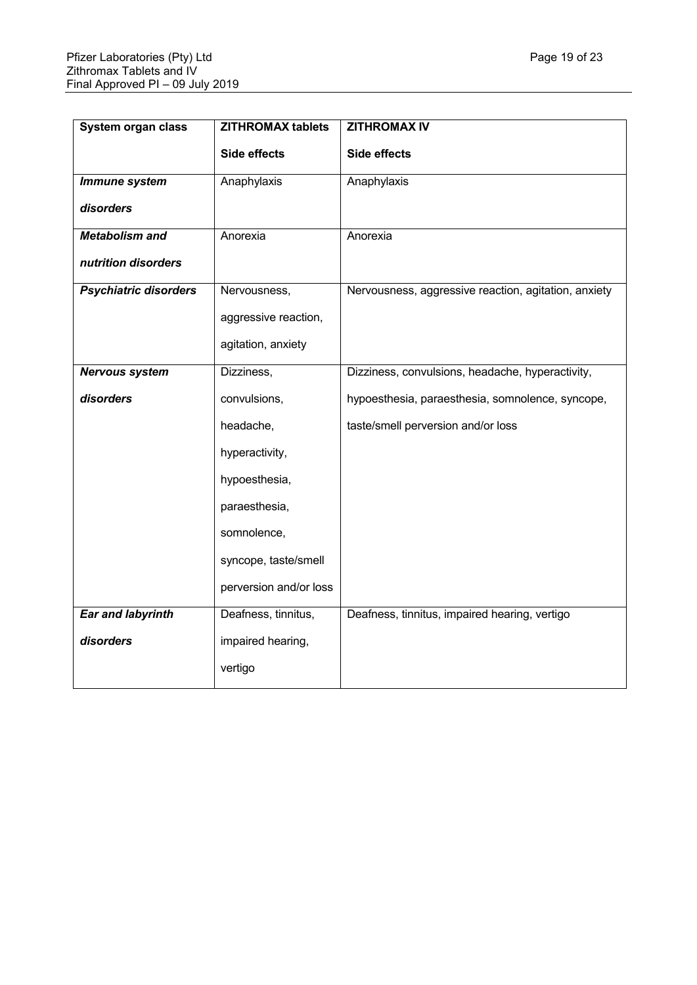| System organ class           | <b>ZITHROMAX tablets</b> | <b>ZITHROMAX IV</b>                                  |
|------------------------------|--------------------------|------------------------------------------------------|
|                              | <b>Side effects</b>      | <b>Side effects</b>                                  |
| Immune system                | Anaphylaxis              | Anaphylaxis                                          |
| disorders                    |                          |                                                      |
| <b>Metabolism and</b>        | Anorexia                 | Anorexia                                             |
| nutrition disorders          |                          |                                                      |
| <b>Psychiatric disorders</b> | Nervousness,             | Nervousness, aggressive reaction, agitation, anxiety |
|                              | aggressive reaction,     |                                                      |
|                              | agitation, anxiety       |                                                      |
| Nervous system               | Dizziness,               | Dizziness, convulsions, headache, hyperactivity,     |
| disorders                    | convulsions,             | hypoesthesia, paraesthesia, somnolence, syncope,     |
|                              | headache,                | taste/smell perversion and/or loss                   |
|                              | hyperactivity,           |                                                      |
|                              | hypoesthesia,            |                                                      |
|                              | paraesthesia,            |                                                      |
|                              | somnolence,              |                                                      |
|                              | syncope, taste/smell     |                                                      |
|                              | perversion and/or loss   |                                                      |
| <b>Ear and labyrinth</b>     | Deafness, tinnitus,      | Deafness, tinnitus, impaired hearing, vertigo        |
| disorders                    | impaired hearing,        |                                                      |
|                              | vertigo                  |                                                      |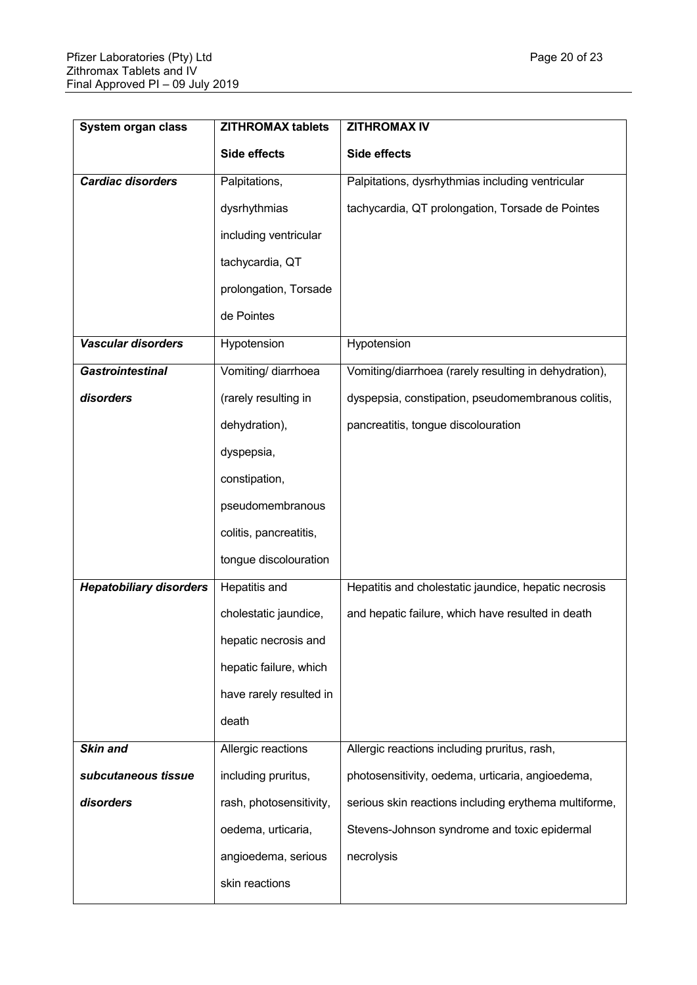| System organ class             | <b>ZITHROMAX tablets</b> | <b>ZITHROMAX IV</b>                                   |
|--------------------------------|--------------------------|-------------------------------------------------------|
|                                | Side effects             | Side effects                                          |
| Cardiac disorders              | Palpitations,            | Palpitations, dysrhythmias including ventricular      |
|                                | dysrhythmias             | tachycardia, QT prolongation, Torsade de Pointes      |
|                                | including ventricular    |                                                       |
|                                | tachycardia, QT          |                                                       |
|                                | prolongation, Torsade    |                                                       |
|                                | de Pointes               |                                                       |
| <b>Vascular disorders</b>      | Hypotension              | Hypotension                                           |
| <b>Gastrointestinal</b>        | Vomiting/ diarrhoea      | Vomiting/diarrhoea (rarely resulting in dehydration), |
| disorders                      | (rarely resulting in     | dyspepsia, constipation, pseudomembranous colitis,    |
|                                | dehydration),            | pancreatitis, tongue discolouration                   |
|                                | dyspepsia,               |                                                       |
|                                | constipation,            |                                                       |
|                                | pseudomembranous         |                                                       |
|                                | colitis, pancreatitis,   |                                                       |
|                                | tongue discolouration    |                                                       |
| <b>Hepatobiliary disorders</b> | Hepatitis and            | Hepatitis and cholestatic jaundice, hepatic necrosis  |
|                                | cholestatic jaundice,    | and hepatic failure, which have resulted in death     |
|                                | hepatic necrosis and     |                                                       |
|                                | hepatic failure, which   |                                                       |
|                                | have rarely resulted in  |                                                       |
|                                | death                    |                                                       |
| Skin and                       | Allergic reactions       | Allergic reactions including pruritus, rash,          |
| subcutaneous tissue            | including pruritus,      | photosensitivity, oedema, urticaria, angioedema,      |
| disorders                      | rash, photosensitivity,  | serious skin reactions including erythema multiforme, |
|                                | oedema, urticaria,       | Stevens-Johnson syndrome and toxic epidermal          |
|                                | angioedema, serious      | necrolysis                                            |
|                                | skin reactions           |                                                       |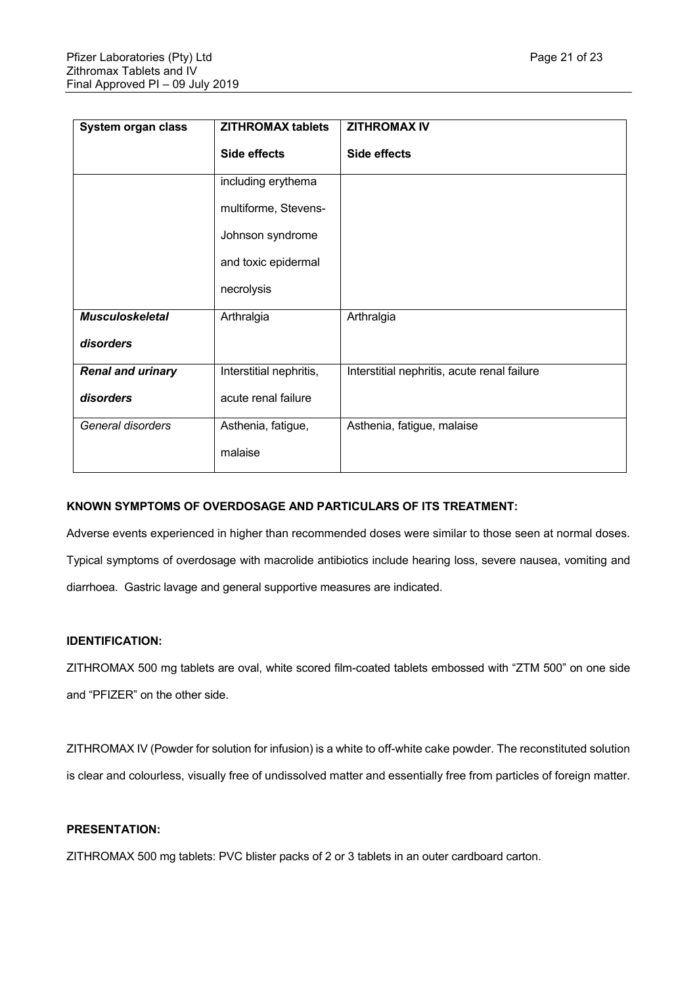| System organ class       | <b>ZITHROMAX tablets</b> | <b>ZITHROMAX IV</b>                         |
|--------------------------|--------------------------|---------------------------------------------|
|                          | Side effects             | Side effects                                |
|                          | including erythema       |                                             |
|                          | multiforme, Stevens-     |                                             |
|                          | Johnson syndrome         |                                             |
|                          | and toxic epidermal      |                                             |
|                          | necrolysis               |                                             |
| <b>Musculoskeletal</b>   | Arthralgia               | Arthralgia                                  |
| disorders                |                          |                                             |
| <b>Renal and urinary</b> | Interstitial nephritis,  | Interstitial nephritis, acute renal failure |
| disorders                | acute renal failure      |                                             |
| General disorders        | Asthenia, fatigue,       | Asthenia, fatigue, malaise                  |
|                          | malaise                  |                                             |

# **KNOWN SYMPTOMS OF OVERDOSAGE AND PARTICULARS OF ITS TREATMENT:**

Adverse events experienced in higher than recommended doses were similar to those seen at normal doses. Typical symptoms of overdosage with macrolide antibiotics include hearing loss, severe nausea, vomiting and diarrhoea. Gastric lavage and general supportive measures are indicated.

# **IDENTIFICATION:**

ZITHROMAX 500 mg tablets are oval, white scored film-coated tablets embossed with "ZTM 500" on one side and "PFIZER" on the other side.

ZITHROMAX IV (Powder for solution for infusion) is a white to off-white cake powder. The reconstituted solution is clear and colourless, visually free of undissolved matter and essentially free from particles of foreign matter.

# **PRESENTATION:**

ZITHROMAX 500 mg tablets: PVC blister packs of 2 or 3 tablets in an outer cardboard carton.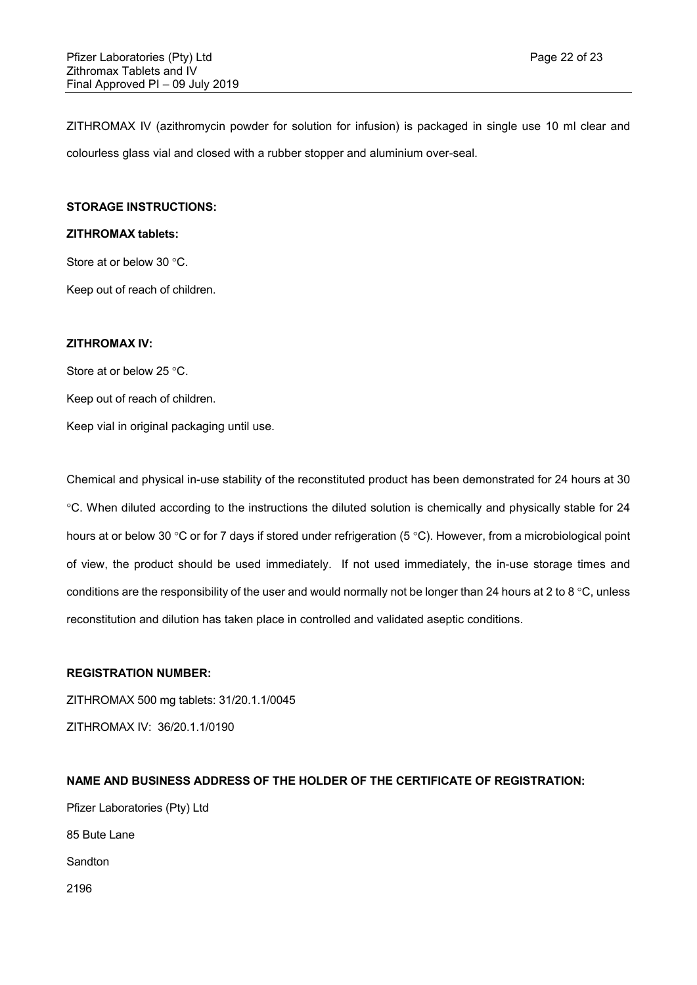ZITHROMAX IV (azithromycin powder for solution for infusion) is packaged in single use 10 ml clear and colourless glass vial and closed with a rubber stopper and aluminium over-seal.

## **STORAGE INSTRUCTIONS:**

#### **ZITHROMAX tablets:**

Store at or below 30 °C.

Keep out of reach of children.

# **ZITHROMAX IV:**

Store at or below  $25 \degree C$ .

Keep out of reach of children.

Keep vial in original packaging until use.

Chemical and physical in-use stability of the reconstituted product has been demonstrated for 24 hours at 30 C. When diluted according to the instructions the diluted solution is chemically and physically stable for 24 hours at or below 30 °C or for 7 days if stored under refrigeration (5 °C). However, from a microbiological point of view, the product should be used immediately. If not used immediately, the in-use storage times and conditions are the responsibility of the user and would normally not be longer than 24 hours at 2 to 8 °C, unless reconstitution and dilution has taken place in controlled and validated aseptic conditions.

## **REGISTRATION NUMBER:**

ZITHROMAX 500 mg tablets: 31/20.1.1/0045 ZITHROMAX IV: 36/20.1.1/0190

## **NAME AND BUSINESS ADDRESS OF THE HOLDER OF THE CERTIFICATE OF REGISTRATION:**

Pfizer Laboratories (Pty) Ltd 85 Bute Lane Sandton 2196